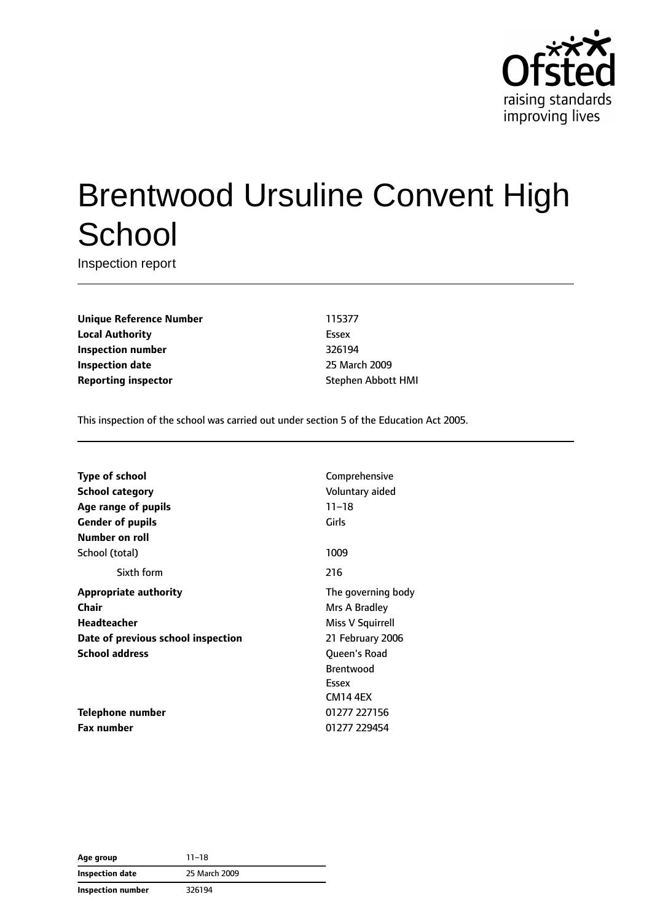

# Brentwood Ursuline Convent High **School**

Inspection report

**Unique Reference Number** 115377 **Local Authority** Essex **Inspection number** 326194 **Inspection date** 25 March 2009 **Reporting inspector** Stephen Abbott HMI

This inspection of the school was carried out under section 5 of the Education Act 2005.

| <b>Type of school</b>              | Comprehensive      |
|------------------------------------|--------------------|
| School category                    | Voluntary aided    |
| Age range of pupils                | $11 - 18$          |
| <b>Gender of pupils</b>            | Girls              |
| Number on roll                     |                    |
| School (total)                     | 1009               |
| Sixth form                         | 216                |
| <b>Appropriate authority</b>       | The governing body |
| Chair                              | Mrs A Bradley      |
| <b>Headteacher</b>                 | Miss V Squirrell   |
| Date of previous school inspection | 21 February 2006   |
| <b>School address</b>              | Queen's Road       |
|                                    | <b>Brentwood</b>   |
|                                    | Essex              |
|                                    | <b>CM14 4FX</b>    |
| Telephone number                   | 01277 227156       |
| <b>Fax number</b>                  | 01277 229454       |

| Age group         | $11 - 18$     |  |
|-------------------|---------------|--|
| Inspection date   | 25 March 2009 |  |
| Inspection number | 326194        |  |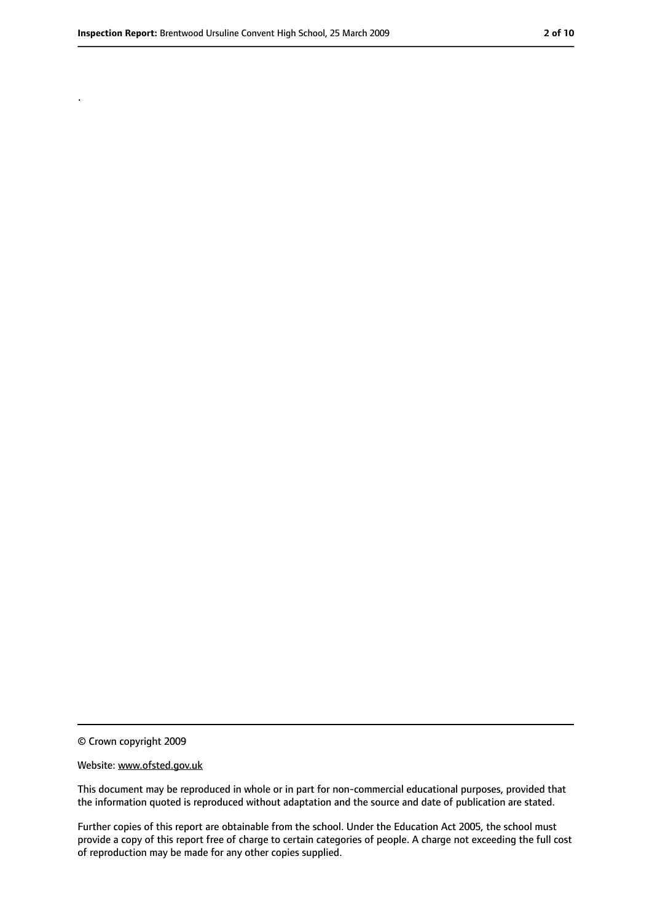.

<sup>©</sup> Crown copyright 2009

Website: www.ofsted.gov.uk

This document may be reproduced in whole or in part for non-commercial educational purposes, provided that the information quoted is reproduced without adaptation and the source and date of publication are stated.

Further copies of this report are obtainable from the school. Under the Education Act 2005, the school must provide a copy of this report free of charge to certain categories of people. A charge not exceeding the full cost of reproduction may be made for any other copies supplied.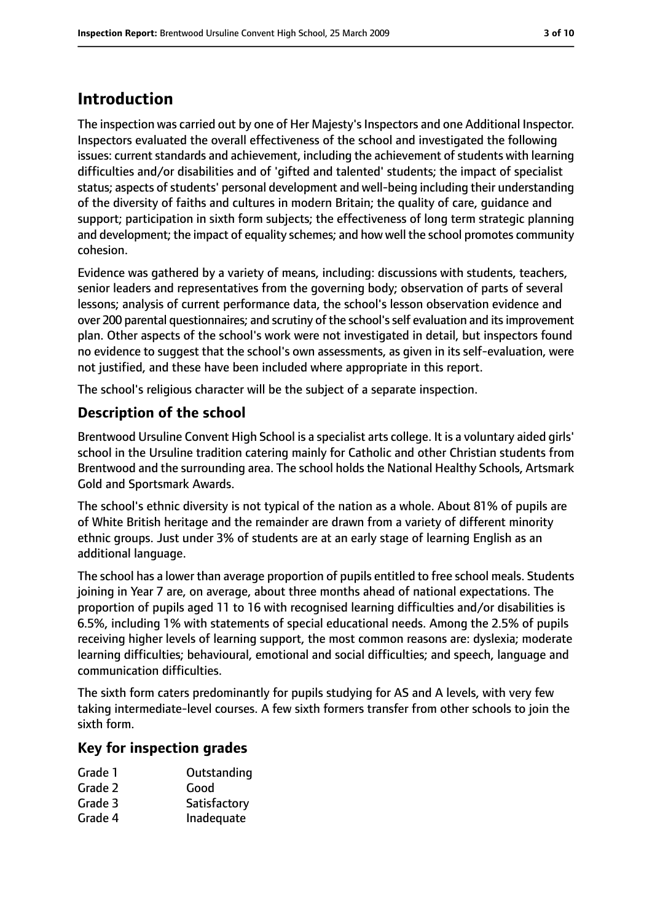# **Introduction**

The inspection was carried out by one of Her Majesty's Inspectors and one Additional Inspector. Inspectors evaluated the overall effectiveness of the school and investigated the following issues: current standards and achievement, including the achievement of students with learning difficulties and/or disabilities and of 'gifted and talented' students; the impact of specialist status; aspects of students' personal development and well-being including their understanding of the diversity of faiths and cultures in modern Britain; the quality of care, guidance and support; participation in sixth form subjects; the effectiveness of long term strategic planning and development; the impact of equality schemes; and how well the school promotes community cohesion.

Evidence was gathered by a variety of means, including: discussions with students, teachers, senior leaders and representatives from the governing body; observation of parts of several lessons; analysis of current performance data, the school's lesson observation evidence and over 200 parental questionnaires; and scrutiny of the school'sself evaluation and itsimprovement plan. Other aspects of the school's work were not investigated in detail, but inspectors found no evidence to suggest that the school's own assessments, as given in its self-evaluation, were not justified, and these have been included where appropriate in this report.

The school's religious character will be the subject of a separate inspection.

### **Description of the school**

Brentwood Ursuline Convent High School is a specialist arts college. It is a voluntary aided girls' school in the Ursuline tradition catering mainly for Catholic and other Christian students from Brentwood and the surrounding area. The school holds the National Healthy Schools, Artsmark Gold and Sportsmark Awards.

The school's ethnic diversity is not typical of the nation as a whole. About 81% of pupils are of White British heritage and the remainder are drawn from a variety of different minority ethnic groups. Just under 3% of students are at an early stage of learning English as an additional language.

The school has a lower than average proportion of pupils entitled to free school meals. Students joining in Year 7 are, on average, about three months ahead of national expectations. The proportion of pupils aged 11 to 16 with recognised learning difficulties and/or disabilities is 6.5%, including 1% with statements of special educational needs. Among the 2.5% of pupils receiving higher levels of learning support, the most common reasons are: dyslexia; moderate learning difficulties; behavioural, emotional and social difficulties; and speech, language and communication difficulties.

The sixth form caters predominantly for pupils studying for AS and A levels, with very few taking intermediate-level courses. A few sixth formers transfer from other schools to join the sixth form.

### **Key for inspection grades**

- Grade 1 **Outstanding**
- Grade 2 Good
- Grade 3 Satisfactory
- Grade 4 Inadequate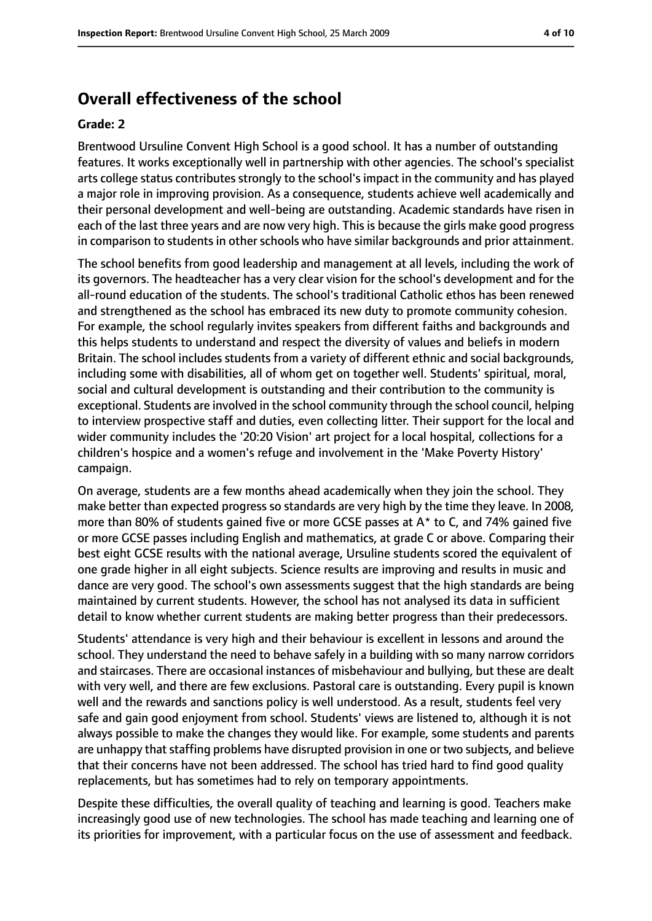## **Overall effectiveness of the school**

#### **Grade: 2**

Brentwood Ursuline Convent High School is a good school. It has a number of outstanding features. It works exceptionally well in partnership with other agencies. The school's specialist arts college status contributes strongly to the school's impact in the community and has played a major role in improving provision. As a consequence, students achieve well academically and their personal development and well-being are outstanding. Academic standards have risen in each of the last three years and are now very high. This is because the girls make good progress in comparison to students in other schools who have similar backgrounds and prior attainment.

The school benefits from good leadership and management at all levels, including the work of its governors. The headteacher has a very clear vision for the school's development and for the all-round education of the students. The school's traditional Catholic ethos has been renewed and strengthened as the school has embraced its new duty to promote community cohesion. For example, the school regularly invites speakers from different faiths and backgrounds and this helps students to understand and respect the diversity of values and beliefs in modern Britain. The school includes students from a variety of different ethnic and social backgrounds, including some with disabilities, all of whom get on together well. Students' spiritual, moral, social and cultural development is outstanding and their contribution to the community is exceptional. Students are involved in the school community through the school council, helping to interview prospective staff and duties, even collecting litter. Their support for the local and wider community includes the '20:20 Vision' art project for a local hospital, collections for a children's hospice and a women's refuge and involvement in the 'Make Poverty History' campaign.

On average, students are a few months ahead academically when they join the school. They make better than expected progress so standards are very high by the time they leave. In 2008, more than 80% of students gained five or more GCSE passes at A\* to C, and 74% gained five or more GCSE passes including English and mathematics, at grade C or above. Comparing their best eight GCSE results with the national average, Ursuline students scored the equivalent of one grade higher in all eight subjects. Science results are improving and results in music and dance are very good. The school's own assessments suggest that the high standards are being maintained by current students. However, the school has not analysed its data in sufficient detail to know whether current students are making better progress than their predecessors.

Students' attendance is very high and their behaviour is excellent in lessons and around the school. They understand the need to behave safely in a building with so many narrow corridors and staircases. There are occasional instances of misbehaviour and bullying, but these are dealt with very well, and there are few exclusions. Pastoral care is outstanding. Every pupil is known well and the rewards and sanctions policy is well understood. As a result, students feel very safe and gain good enjoyment from school. Students' views are listened to, although it is not always possible to make the changes they would like. For example, some students and parents are unhappy that staffing problems have disrupted provision in one or two subjects, and believe that their concerns have not been addressed. The school has tried hard to find good quality replacements, but has sometimes had to rely on temporary appointments.

Despite these difficulties, the overall quality of teaching and learning is good. Teachers make increasingly good use of new technologies. The school has made teaching and learning one of its priorities for improvement, with a particular focus on the use of assessment and feedback.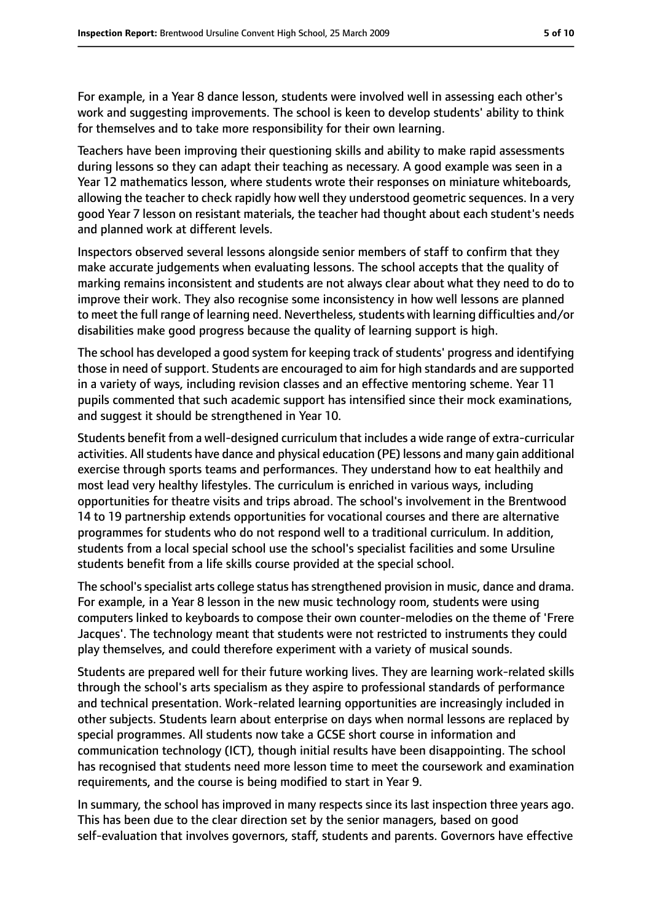For example, in a Year 8 dance lesson, students were involved well in assessing each other's work and suggesting improvements. The school is keen to develop students' ability to think for themselves and to take more responsibility for their own learning.

Teachers have been improving their questioning skills and ability to make rapid assessments during lessons so they can adapt their teaching as necessary. A good example was seen in a Year 12 mathematics lesson, where students wrote their responses on miniature whiteboards, allowing the teacher to check rapidly how well they understood geometric sequences. In a very good Year 7 lesson on resistant materials, the teacher had thought about each student's needs and planned work at different levels.

Inspectors observed several lessons alongside senior members of staff to confirm that they make accurate judgements when evaluating lessons. The school accepts that the quality of marking remains inconsistent and students are not always clear about what they need to do to improve their work. They also recognise some inconsistency in how well lessons are planned to meet the full range of learning need. Nevertheless, students with learning difficulties and/or disabilities make good progress because the quality of learning support is high.

The school has developed a good system for keeping track of students' progress and identifying those in need of support. Students are encouraged to aim for high standards and are supported in a variety of ways, including revision classes and an effective mentoring scheme. Year 11 pupils commented that such academic support has intensified since their mock examinations, and suggest it should be strengthened in Year 10.

Students benefit from a well-designed curriculum that includes a wide range of extra-curricular activities. All students have dance and physical education (PE) lessons and many gain additional exercise through sports teams and performances. They understand how to eat healthily and most lead very healthy lifestyles. The curriculum is enriched in various ways, including opportunities for theatre visits and trips abroad. The school's involvement in the Brentwood 14 to 19 partnership extends opportunities for vocational courses and there are alternative programmes for students who do not respond well to a traditional curriculum. In addition, students from a local special school use the school's specialist facilities and some Ursuline students benefit from a life skills course provided at the special school.

The school's specialist arts college status has strengthened provision in music, dance and drama. For example, in a Year 8 lesson in the new music technology room, students were using computers linked to keyboards to compose their own counter-melodies on the theme of 'Frere Jacques'. The technology meant that students were not restricted to instruments they could play themselves, and could therefore experiment with a variety of musical sounds.

Students are prepared well for their future working lives. They are learning work-related skills through the school's arts specialism as they aspire to professional standards of performance and technical presentation. Work-related learning opportunities are increasingly included in other subjects. Students learn about enterprise on days when normal lessons are replaced by special programmes. All students now take a GCSE short course in information and communication technology (ICT), though initial results have been disappointing. The school has recognised that students need more lesson time to meet the coursework and examination requirements, and the course is being modified to start in Year 9.

In summary, the school has improved in many respects since its last inspection three years ago. This has been due to the clear direction set by the senior managers, based on good self-evaluation that involves governors, staff, students and parents. Governors have effective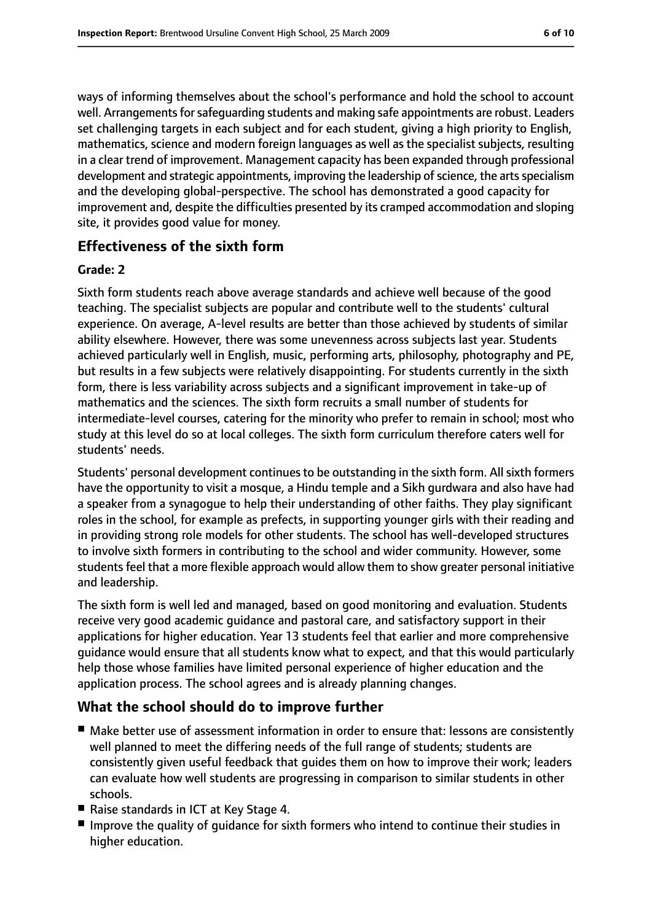ways of informing themselves about the school's performance and hold the school to account well. Arrangements for safeguarding students and making safe appointments are robust. Leaders set challenging targets in each subject and for each student, giving a high priority to English, mathematics, science and modern foreign languages as well as the specialist subjects, resulting in a clear trend of improvement. Management capacity has been expanded through professional development and strategic appointments, improving the leadership of science, the arts specialism and the developing global-perspective. The school has demonstrated a good capacity for improvement and, despite the difficulties presented by its cramped accommodation and sloping site, it provides good value for money.

### **Effectiveness of the sixth form**

#### **Grade: 2**

Sixth form students reach above average standards and achieve well because of the good teaching. The specialist subjects are popular and contribute well to the students' cultural experience. On average, A-level results are better than those achieved by students of similar ability elsewhere. However, there was some unevenness across subjects last year. Students achieved particularly well in English, music, performing arts, philosophy, photography and PE, but results in a few subjects were relatively disappointing. For students currently in the sixth form, there is less variability across subjects and a significant improvement in take-up of mathematics and the sciences. The sixth form recruits a small number of students for intermediate-level courses, catering for the minority who prefer to remain in school; most who study at this level do so at local colleges. The sixth form curriculum therefore caters well for students' needs.

Students' personal development continues to be outstanding in the sixth form. All sixth formers have the opportunity to visit a mosque, a Hindu temple and a Sikh gurdwara and also have had a speaker from a synagogue to help their understanding of other faiths. They play significant roles in the school, for example as prefects, in supporting younger girls with their reading and in providing strong role models for other students. The school has well-developed structures to involve sixth formers in contributing to the school and wider community. However, some students feel that a more flexible approach would allow them to show greater personal initiative and leadership.

The sixth form is well led and managed, based on good monitoring and evaluation. Students receive very good academic guidance and pastoral care, and satisfactory support in their applications for higher education. Year 13 students feel that earlier and more comprehensive guidance would ensure that all students know what to expect, and that this would particularly help those whose families have limited personal experience of higher education and the application process. The school agrees and is already planning changes.

### **What the school should do to improve further**

- Make better use of assessment information in order to ensure that: lessons are consistently well planned to meet the differing needs of the full range of students; students are consistently given useful feedback that guides them on how to improve their work; leaders can evaluate how well students are progressing in comparison to similar students in other schools.
- Raise standards in ICT at Key Stage 4.
- Improve the quality of quidance for sixth formers who intend to continue their studies in higher education.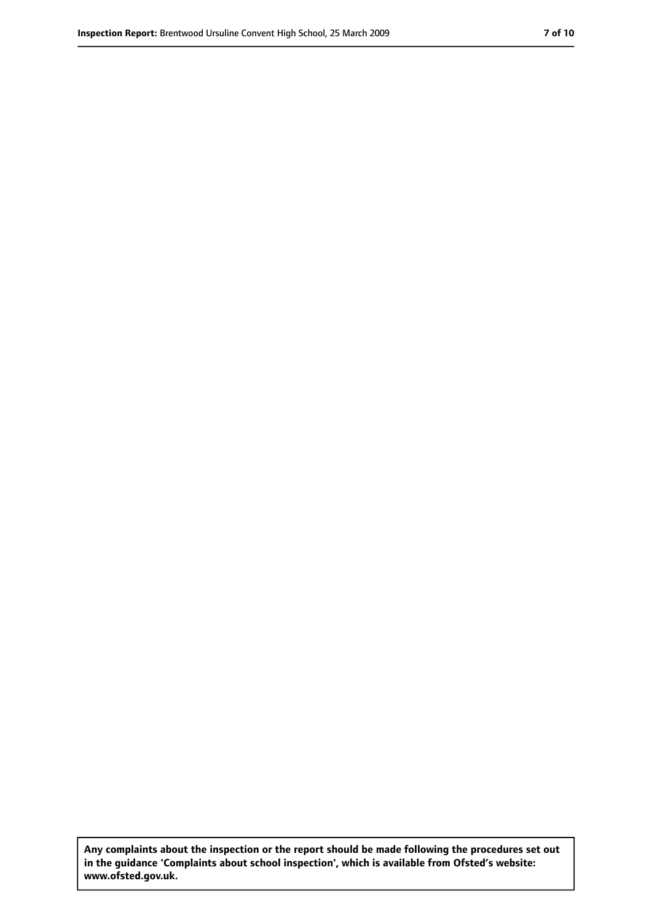**Any complaints about the inspection or the report should be made following the procedures set out in the guidance 'Complaints about school inspection', which is available from Ofsted's website: www.ofsted.gov.uk.**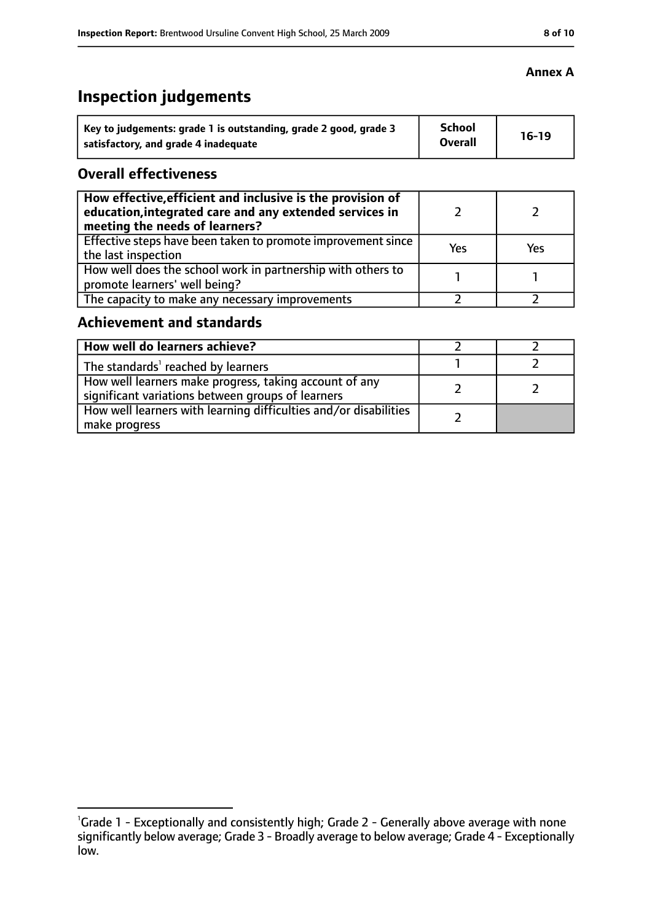### **Annex A**

# **Inspection judgements**

| Key to judgements: grade 1 is outstanding, grade 2 good, grade 3 | <b>School</b><br><b>Overall</b> | $16-19$ |
|------------------------------------------------------------------|---------------------------------|---------|
| satisfactory, and grade 4 inadequate                             |                                 |         |

### **Overall effectiveness**

| How effective, efficient and inclusive is the provision of<br>education, integrated care and any extended services in<br>meeting the needs of learners? |     |     |
|---------------------------------------------------------------------------------------------------------------------------------------------------------|-----|-----|
| Effective steps have been taken to promote improvement since<br>the last inspection                                                                     | Yes | Yes |
| How well does the school work in partnership with others to<br>promote learners' well being?                                                            |     |     |
| The capacity to make any necessary improvements                                                                                                         |     |     |

### **Achievement and standards**

| How well do learners achieve?                                                                               |  |
|-------------------------------------------------------------------------------------------------------------|--|
| The standards <sup>1</sup> reached by learners                                                              |  |
| How well learners make progress, taking account of any<br>significant variations between groups of learners |  |
| How well learners with learning difficulties and/or disabilities<br>make progress                           |  |

<sup>&</sup>lt;sup>1</sup>Grade 1 - Exceptionally and consistently high; Grade 2 - Generally above average with none significantly below average; Grade 3 - Broadly average to below average; Grade 4 - Exceptionally low.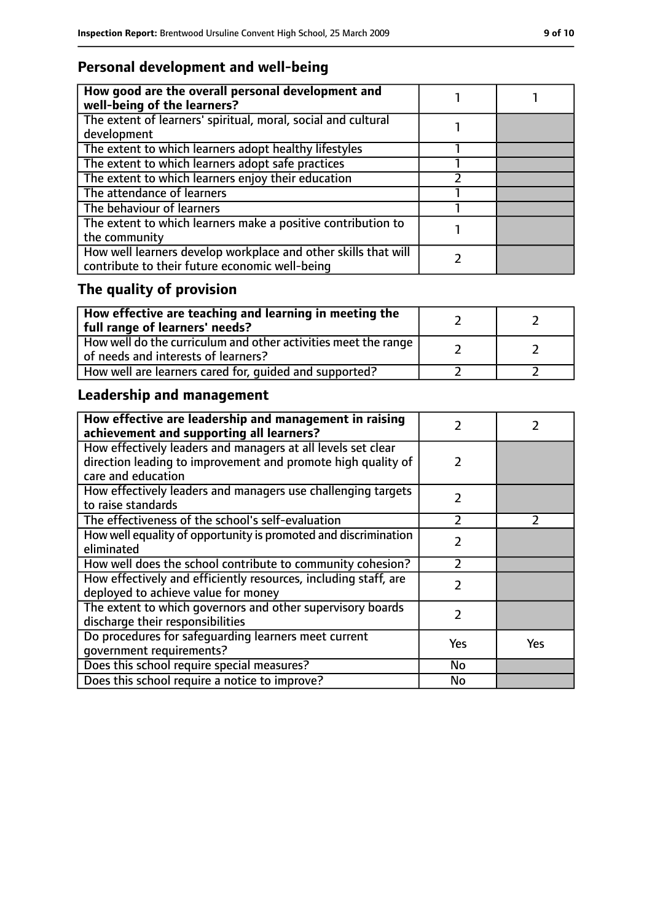# **Personal development and well-being**

| How good are the overall personal development and<br>well-being of the learners?                                 |  |
|------------------------------------------------------------------------------------------------------------------|--|
| The extent of learners' spiritual, moral, social and cultural<br>development                                     |  |
| The extent to which learners adopt healthy lifestyles                                                            |  |
| The extent to which learners adopt safe practices                                                                |  |
| The extent to which learners enjoy their education                                                               |  |
| The attendance of learners                                                                                       |  |
| The behaviour of learners                                                                                        |  |
| The extent to which learners make a positive contribution to<br>the community                                    |  |
| How well learners develop workplace and other skills that will<br>contribute to their future economic well-being |  |

# **The quality of provision**

| $\mid$ How effective are teaching and learning in meeting the<br>full range of learners' needs?       |  |
|-------------------------------------------------------------------------------------------------------|--|
| How well do the curriculum and other activities meet the range<br>of needs and interests of learners? |  |
| How well are learners cared for, quided and supported?                                                |  |

# **Leadership and management**

| How effective are leadership and management in raising<br>achievement and supporting all learners?                           | フ              |               |
|------------------------------------------------------------------------------------------------------------------------------|----------------|---------------|
| How effectively leaders and managers at all levels set clear<br>direction leading to improvement and promote high quality of | $\mathcal{L}$  |               |
| care and education                                                                                                           |                |               |
| How effectively leaders and managers use challenging targets<br>to raise standards                                           | $\mathcal{P}$  |               |
| The effectiveness of the school's self-evaluation                                                                            | $\overline{2}$ | $\mathcal{P}$ |
| How well equality of opportunity is promoted and discrimination<br>eliminated                                                | $\mathcal{P}$  |               |
| How well does the school contribute to community cohesion?                                                                   | っ              |               |
| How effectively and efficiently resources, including staff, are<br>deployed to achieve value for money                       | $\mathcal{P}$  |               |
| The extent to which governors and other supervisory boards<br>discharge their responsibilities                               | 2              |               |
| Do procedures for safequarding learners meet current                                                                         | Yes            | Yes           |
| qovernment requirements?                                                                                                     |                |               |
| Does this school require special measures?                                                                                   | <b>No</b>      |               |
| Does this school require a notice to improve?                                                                                | No             |               |